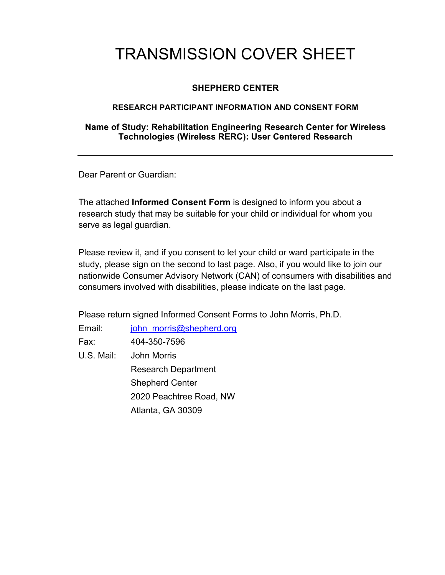# TRANSMISSION COVER SHEET

# **SHEPHERD CENTER**

## **RESEARCH PARTICIPANT INFORMATION AND CONSENT FORM**

# **Name of Study: Rehabilitation Engineering Research Center for Wireless Technologies (Wireless RERC): User Centered Research**

Dear Parent or Guardian:

The attached **Informed Consent Form** is designed to inform you about a research study that may be suitable for your child or individual for whom you serve as legal guardian.

Please review it, and if you consent to let your child or ward participate in the study, please sign on the second to last page. Also, if you would like to join our nationwide Consumer Advisory Network (CAN) of consumers with disabilities and consumers involved with disabilities, please indicate on the last page.

Please return signed Informed Consent Forms to John Morris, Ph.D.

| Email:     | john morris@shepherd.org   |
|------------|----------------------------|
| Fax:       | 404-350-7596               |
| U.S. Mail: | John Morris                |
|            | <b>Research Department</b> |
|            | <b>Shepherd Center</b>     |
|            | 2020 Peachtree Road, NW    |
|            | Atlanta, GA 30309          |
|            |                            |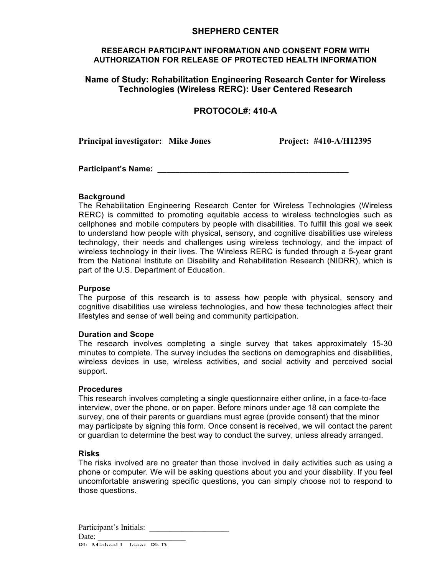# **SHEPHERD CENTER**

## **RESEARCH PARTICIPANT INFORMATION AND CONSENT FORM WITH AUTHORIZATION FOR RELEASE OF PROTECTED HEALTH INFORMATION**

# **Name of Study: Rehabilitation Engineering Research Center for Wireless Technologies (Wireless RERC): User Centered Research**

# **PROTOCOL#: 410-A**

**Principal investigator: Mike Jones Project: #410-A/H12395**

**Participant's Name: \_\_\_\_\_\_\_\_\_\_\_\_\_\_\_\_\_\_\_\_\_\_\_\_\_\_\_\_\_\_\_\_\_\_\_\_\_\_\_\_\_\_\_** 

## **Background**

The Rehabilitation Engineering Research Center for Wireless Technologies (Wireless RERC) is committed to promoting equitable access to wireless technologies such as cellphones and mobile computers by people with disabilities. To fulfill this goal we seek to understand how people with physical, sensory, and cognitive disabilities use wireless technology, their needs and challenges using wireless technology, and the impact of wireless technology in their lives. The Wireless RERC is funded through a 5-year grant from the National Institute on Disability and Rehabilitation Research (NIDRR), which is part of the U.S. Department of Education.

#### **Purpose**

The purpose of this research is to assess how people with physical, sensory and cognitive disabilities use wireless technologies, and how these technologies affect their lifestyles and sense of well being and community participation.

#### **Duration and Scope**

The research involves completing a single survey that takes approximately 15-30 minutes to complete. The survey includes the sections on demographics and disabilities, wireless devices in use, wireless activities, and social activity and perceived social support.

#### **Procedures**

This research involves completing a single questionnaire either online, in a face-to-face interview, over the phone, or on paper. Before minors under age 18 can complete the survey, one of their parents or guardians must agree (provide consent) that the minor may participate by signing this form. Once consent is received, we will contact the parent or guardian to determine the best way to conduct the survey, unless already arranged.

#### **Risks**

The risks involved are no greater than those involved in daily activities such as using a phone or computer. We will be asking questions about you and your disability. If you feel uncomfortable answering specific questions, you can simply choose not to respond to those questions.

Participant's Initials: Date:  $DF: Michad I.$   $Ina<sub>0</sub>$ ,  $D<sub>h</sub>$ ,  $D<sub>l</sub>$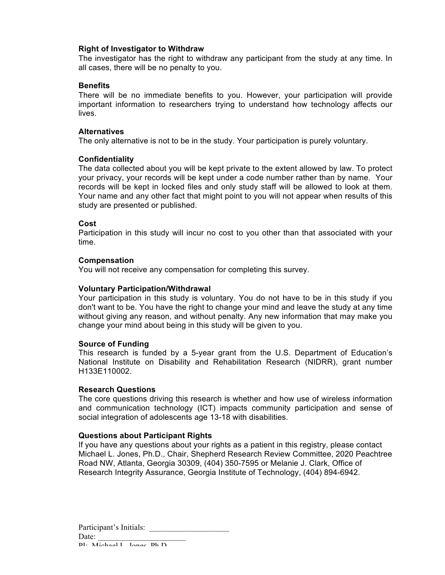#### **Right of Investigator to Withdraw**

The investigator has the right to withdraw any participant from the study at any time. In all cases, there will be no penalty to you.

#### **Benefits**

There will be no immediate benefits to you. However, your participation will provide important information to researchers trying to understand how technology affects our lives.

#### **Alternatives**

The only alternative is not to be in the study. Your participation is purely voluntary.

#### **Confidentiality**

The data collected about you will be kept private to the extent allowed by law. To protect your privacy, your records will be kept under a code number rather than by name. Your records will be kept in locked files and only study staff will be allowed to look at them. Your name and any other fact that might point to you will not appear when results of this study are presented or published.

#### **Cost**

Participation in this study will incur no cost to you other than that associated with your time.

#### **Compensation**

You will not receive any compensation for completing this survey.

#### **Voluntary Participation/Withdrawal**

Your participation in this study is voluntary. You do not have to be in this study if you don't want to be. You have the right to change your mind and leave the study at any time without giving any reason, and without penalty. Any new information that may make you change your mind about being in this study will be given to you.

#### **Source of Funding**

This research is funded by a 5-year grant from the U.S. Department of Education's National Institute on Disability and Rehabilitation Research (NIDRR), grant number H133E110002.

#### **Research Questions**

The core questions driving this research is whether and how use of wireless information and communication technology (ICT) impacts community participation and sense of social integration of adolescents age 13-18 with disabilities.

#### **Questions about Participant Rights**

If you have any questions about your rights as a patient in this registry, please contact Michael L. Jones, Ph.D., Chair, Shepherd Research Review Committee, 2020 Peachtree Road NW, Atlanta, Georgia 30309, (404) 350-7595 or Melanie J. Clark, Office of Research Integrity Assurance, Georgia Institute of Technology, (404) 894-6942.

Participant's Initials: Date: PI: Michael L. Jones, Ph.D.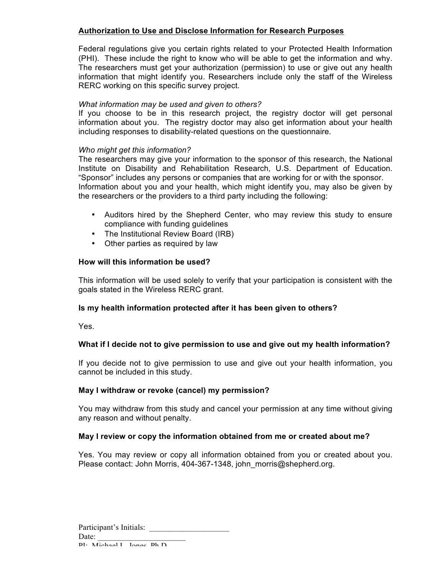# **Authorization to Use and Disclose Information for Research Purposes**

Federal regulations give you certain rights related to your Protected Health Information (PHI). These include the right to know who will be able to get the information and why. The researchers must get your authorization (permission) to use or give out any health information that might identify you. Researchers include only the staff of the Wireless RERC working on this specific survey project.

## *What information may be used and given to others?*

If you choose to be in this research project, the registry doctor will get personal information about you. The registry doctor may also get information about your health including responses to disability-related questions on the questionnaire.

## *Who might get this information?*

The researchers may give your information to the sponsor of this research, the National Institute on Disability and Rehabilitation Research, U.S. Department of Education. "Sponsor" includes any persons or companies that are working for or with the sponsor. Information about you and your health, which might identify you, may also be given by the researchers or the providers to a third party including the following:

- Auditors hired by the Shepherd Center, who may review this study to ensure compliance with funding guidelines
- The Institutional Review Board (IRB)
- Other parties as required by law

## **How will this information be used?**

This information will be used solely to verify that your participation is consistent with the goals stated in the Wireless RERC grant.

## **Is my health information protected after it has been given to others?**

Yes.

## **What if I decide not to give permission to use and give out my health information?**

If you decide not to give permission to use and give out your health information, you cannot be included in this study.

#### **May I withdraw or revoke (cancel) my permission?**

You may withdraw from this study and cancel your permission at any time without giving any reason and without penalty.

#### **May I review or copy the information obtained from me or created about me?**

Yes. You may review or copy all information obtained from you or created about you. Please contact: John Morris, 404-367-1348, john\_morris@shepherd.org.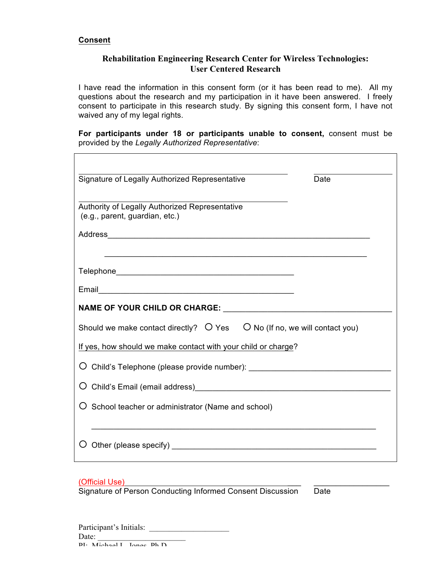# **Rehabilitation Engineering Research Center for Wireless Technologies: User Centered Research**

I have read the information in this consent form (or it has been read to me). All my questions about the research and my participation in it have been answered. I freely consent to participate in this research study. By signing this consent form, I have not waived any of my legal rights.

**For participants under 18 or participants unable to consent,** consent must be provided by the *Legally Authorized Representative*:

| Signature of Legally Authorized Representative                                                                          | Date |  |  |
|-------------------------------------------------------------------------------------------------------------------------|------|--|--|
| Authority of Legally Authorized Representative<br>(e.g., parent, guardian, etc.)                                        |      |  |  |
|                                                                                                                         |      |  |  |
|                                                                                                                         |      |  |  |
|                                                                                                                         |      |  |  |
|                                                                                                                         |      |  |  |
|                                                                                                                         |      |  |  |
| Should we make contact directly? $\bigcirc$ Yes $\bigcirc$ No (If no, we will contact you)                              |      |  |  |
| If yes, how should we make contact with your child or charge?                                                           |      |  |  |
| O Child's Telephone (please provide number): ___________________________________                                        |      |  |  |
|                                                                                                                         |      |  |  |
| O School teacher or administrator (Name and school)                                                                     |      |  |  |
| <u> 1989 - Johann John Stoff, deutscher Stoff als der Stoff als der Stoff als der Stoff als der Stoff als der Stoff</u> |      |  |  |
|                                                                                                                         |      |  |  |

#### (Official Use) \_\_\_ \_\_\_\_\_\_\_\_\_\_\_\_\_\_\_\_\_

Signature of Person Conducting Informed Consent Discussion Date

Participant's Initials: Date:  $DF: Michad I.$   $Ina<sub>0</sub>$   $D<sub>h</sub>$   $D<sub>l</sub>$